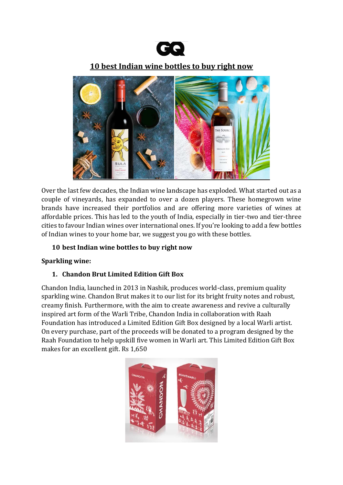

# **10 best Indian wine bottles to buy right now**



Over the last few decades, the Indian wine landscape has exploded. What started out as a couple of vineyards, has expanded to over a dozen players. These homegrown wine brands have increased their portfolios and are offering more varieties of wines at affordable prices. This has led to the youth of India, especially in tier-two and tier-three cities to favour Indian wines over international ones. If you're looking to add a few bottles of Indian wines to your home bar, we suggest you go with these bottles.

### **10 best Indian wine bottles to buy right now**

### **Sparkling wine:**

### **1. Chandon Brut Limited Edition Gift Box**

Chandon India, launched in 2013 in Nashik, produces world-class, premium quality sparkling wine. Chandon Brut makes it to our list for its bright fruity notes and robust, creamy finish. Furthermore, with the aim to create awareness and revive a culturally inspired art form of the Warli Tribe, Chandon India in collaboration with Raah Foundation has introduced a Limited Edition Gift Box designed by a local Warli artist. On every purchase, part of the proceeds will be donated to a program designed by the Raah Foundation to help upskill five women in Warli art. This Limited Edition Gift Box makes for an excellent gift. Rs 1,650

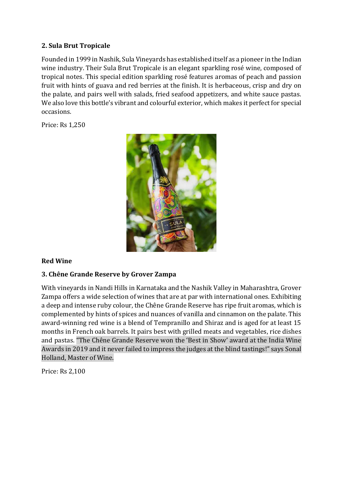### **2. Sula Brut Tropicale**

Founded in 1999 in Nashik, Sula Vineyards has established itself as a pioneer in the Indian wine industry. Their Sula Brut Tropicale is an elegant sparkling rosé wine, composed of tropical notes. This special edition sparkling rosé features aromas of peach and passion fruit with hints of guava and red berries at the finish. It is herbaceous, crisp and dry on the palate, and pairs well with salads, fried seafood appetizers, and white sauce pastas. We also love this bottle's vibrant and colourful exterior, which makes it perfect for special occasions.

Price: Rs 1,250



### **Red Wine**

### **3. Chêne Grande Reserve by Grover Zampa**

With vineyards in Nandi Hills in Karnataka and the Nashik Valley in Maharashtra, Grover Zampa offers a wide selection of wines that are at par with international ones. Exhibiting a deep and intense ruby colour, the Chêne Grande Reserve has ripe fruit aromas, which is complemented by hints of spices and nuances of vanilla and cinnamon on the palate. This award-winning red wine is a blend of Tempranillo and Shiraz and is aged for at least 15 months in French oak barrels. It pairs best with grilled meats and vegetables, rice dishes and pastas. "The Chêne Grande Reserve won the 'Best in Show' award at the India Wine Awards in 2019 and it never failed to impress the judges at the blind tastings!" says Sonal Holland, Master of Wine.

Price: Rs 2,100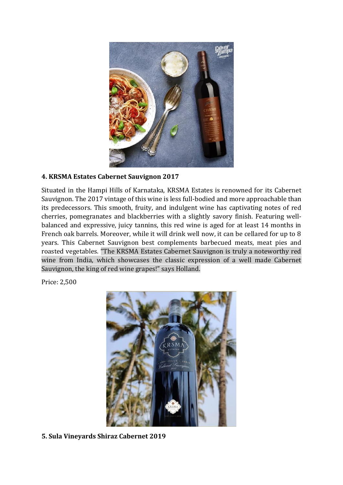

### **4. KRSMA Estates Cabernet Sauvignon 2017**

Situated in the Hampi Hills of Karnataka, KRSMA Estates is renowned for its Cabernet Sauvignon. The 2017 vintage of this wine is less full-bodied and more approachable than its predecessors. This smooth, fruity, and indulgent wine has captivating notes of red cherries, pomegranates and blackberries with a slightly savory finish. Featuring wellbalanced and expressive, juicy tannins, this red wine is aged for at least 14 months in French oak barrels. Moreover, while it will drink well now, it can be cellared for up to 8 years. This Cabernet Sauvignon best complements barbecued meats, meat pies and roasted vegetables. "The KRSMA Estates Cabernet Sauvignon is truly a noteworthy red wine from India, which showcases the classic expression of a well made Cabernet Sauvignon, the king of red wine grapes!" says Holland.

Price: 2,500



**5. Sula Vineyards Shiraz Cabernet 2019**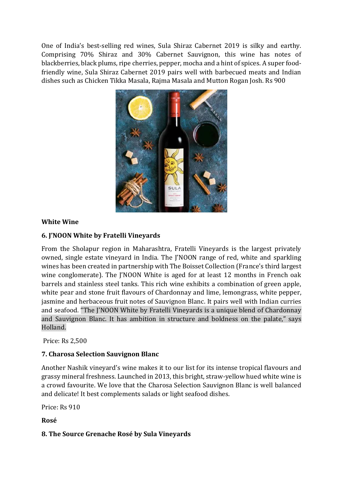One of India's best-selling red wines, Sula Shiraz Cabernet 2019 is silky and earthy. Comprising 70% Shiraz and 30% Cabernet Sauvignon, this wine has notes of blackberries, black plums, ripe cherries, pepper, mocha and a hint of spices. A super foodfriendly wine, Sula Shiraz Cabernet 2019 pairs well with barbecued meats and Indian dishes such as Chicken Tikka Masala, Rajma Masala and Mutton Rogan Josh. Rs 900



### **White Wine**

## **6. J'NOON White by Fratelli Vineyards**

From the Sholapur region in Maharashtra, Fratelli Vineyards is the largest privately owned, single estate vineyard in India. The J'NOON range of red, white and sparkling wines has been created in partnership with The Boisset Collection (France's third largest wine conglomerate). The J'NOON White is aged for at least 12 months in French oak barrels and stainless steel tanks. This rich wine exhibits a combination of green apple, white pear and stone fruit flavours of Chardonnay and lime, lemongrass, white pepper, jasmine and herbaceous fruit notes of Sauvignon Blanc. It pairs well with Indian curries and seafood. "The J'NOON White by Fratelli Vineyards is a unique blend of Chardonnay and Sauvignon Blanc. It has ambition in structure and boldness on the palate," says Holland.

Price: Rs 2,500

### **7. Charosa Selection Sauvignon Blanc**

Another Nashik vineyard's wine makes it to our list for its intense tropical flavours and grassy mineral freshness. Launched in 2013, this bright, straw-yellow hued white wine is a crowd favourite. We love that the Charosa Selection Sauvignon Blanc is well balanced and delicate! It best complements salads or light seafood dishes.

Price: Rs 910

**Rosé**

### **8. The Source Grenache Rosé by Sula Vineyards**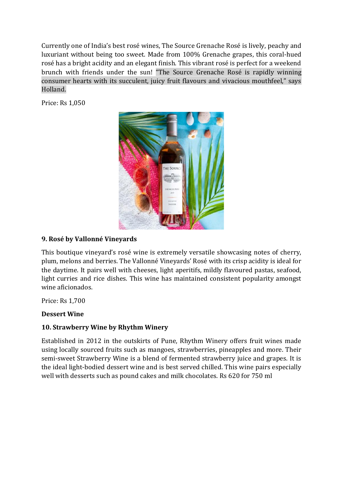Currently one of India's best rosé wines, The Source Grenache Rosé is lively, peachy and luxuriant without being too sweet. Made from 100% Grenache grapes, this coral-hued rosé has a bright acidity and an elegant finish. This vibrant rosé is perfect for a weekend brunch with friends under the sun! "The Source Grenache Rosé is rapidly winning consumer hearts with its succulent, juicy fruit flavours and vivacious mouthfeel," says Holland.

Price: Rs 1,050



### **9. Rosé by Vallonné Vineyards**

This boutique vineyard's rosé wine is extremely versatile showcasing notes of cherry, plum, melons and berries. The Vallonné Vineyards' Rosé with its crisp acidity is ideal for the daytime. It pairs well with cheeses, light aperitifs, mildly flavoured pastas, seafood, light curries and rice dishes. This wine has maintained consistent popularity amongst wine aficionados.

Price: Rs 1,700

#### **Dessert Wine**

### **10. Strawberry Wine by Rhythm Winery**

Established in 2012 in the outskirts of Pune, Rhythm Winery offers fruit wines made using locally sourced fruits such as mangoes, strawberries, pineapples and more. Their semi-sweet Strawberry Wine is a blend of fermented strawberry juice and grapes. It is the ideal light-bodied dessert wine and is best served chilled. This wine pairs especially well with desserts such as pound cakes and milk chocolates. Rs 620 for 750 ml